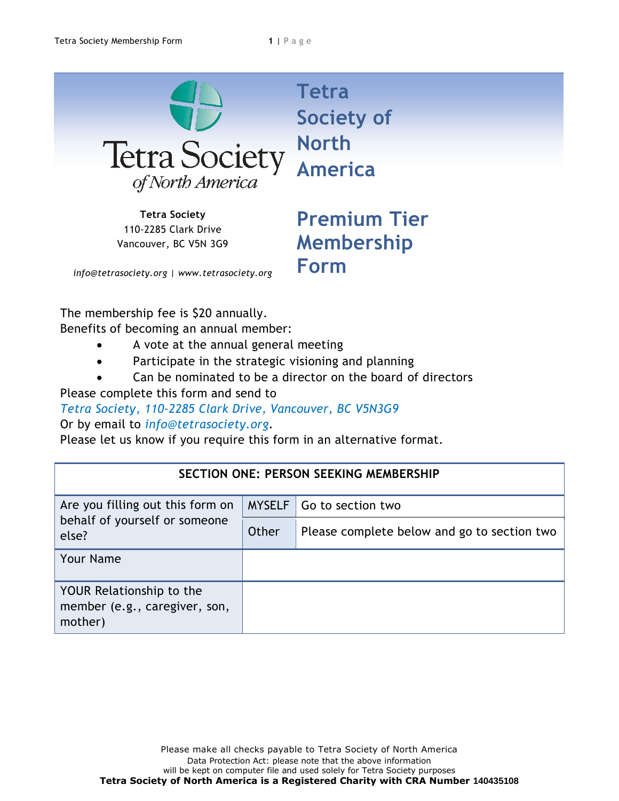

**Tetra Society** 110-2285 Clark Drive Vancouver, BC V5N 3G9 **Society of America**

**Premium Tier Membership Form**

*info@tetrasociety.org | www.tetrasociety.org*

The membership fee is \$20 annually.

Benefits of becoming an annual member:

- A vote at the annual general meeting
- Participate in the strategic visioning and planning
- Can be nominated to be a director on the board of directors

Please complete this form and send to

*Tetra Society, 110-2285 Clark Drive, Vancouver, BC V5N3G9* 

Or by email to *info@tetrasociety.org*.

Please let us know if you require this form in an alternative format.

| <b>SECTION ONE: PERSON SEEKING MEMBERSHIP</b>                              |               |                                             |  |  |
|----------------------------------------------------------------------------|---------------|---------------------------------------------|--|--|
| Are you filling out this form on<br>behalf of yourself or someone<br>else? | <b>MYSELF</b> | Go to section two                           |  |  |
|                                                                            | Other         | Please complete below and go to section two |  |  |
| <b>Your Name</b>                                                           |               |                                             |  |  |
| YOUR Relationship to the<br>member (e.g., caregiver, son,<br>mother)       |               |                                             |  |  |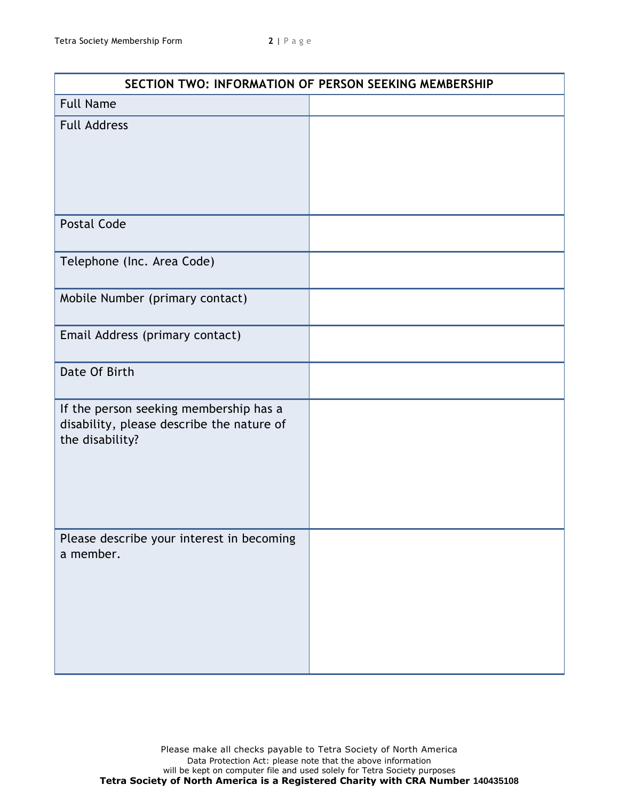| SECTION TWO: INFORMATION OF PERSON SEEKING MEMBERSHIP                                                  |  |  |
|--------------------------------------------------------------------------------------------------------|--|--|
| <b>Full Name</b>                                                                                       |  |  |
| <b>Full Address</b>                                                                                    |  |  |
| <b>Postal Code</b>                                                                                     |  |  |
| Telephone (Inc. Area Code)                                                                             |  |  |
| Mobile Number (primary contact)                                                                        |  |  |
| Email Address (primary contact)                                                                        |  |  |
| Date Of Birth                                                                                          |  |  |
| If the person seeking membership has a<br>disability, please describe the nature of<br>the disability? |  |  |
| Please describe your interest in becoming<br>a member.                                                 |  |  |